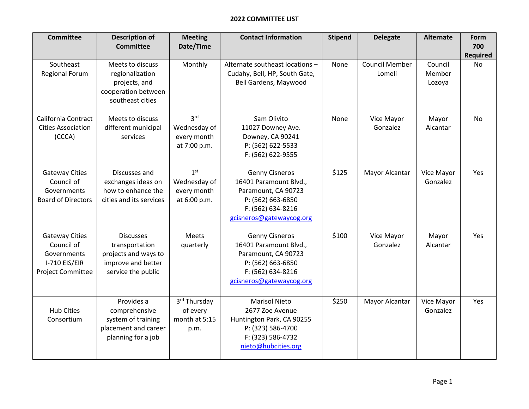## **2022 COMMITTEE LIST**

| <b>Committee</b>                                                                                | <b>Description of</b><br><b>Committee</b>                                                              | <b>Meeting</b><br>Date/Time                                    | <b>Contact Information</b>                                                                                                                   | <b>Stipend</b> | <b>Delegate</b>                 | Alternate                   | <b>Form</b><br>700<br><b>Required</b> |
|-------------------------------------------------------------------------------------------------|--------------------------------------------------------------------------------------------------------|----------------------------------------------------------------|----------------------------------------------------------------------------------------------------------------------------------------------|----------------|---------------------------------|-----------------------------|---------------------------------------|
| Southeast<br><b>Regional Forum</b>                                                              | Meets to discuss<br>regionalization<br>projects, and<br>cooperation between<br>southeast cities        | Monthly                                                        | Alternate southeast locations -<br>Cudahy, Bell, HP, South Gate,<br>Bell Gardens, Maywood                                                    | None           | <b>Council Member</b><br>Lomeli | Council<br>Member<br>Lozoya | <b>No</b>                             |
| California Contract<br><b>Cities Association</b><br>(CCCA)                                      | Meets to discuss<br>different municipal<br>services                                                    | 3 <sup>rd</sup><br>Wednesday of<br>every month<br>at 7:00 p.m. | Sam Olivito<br>11027 Downey Ave.<br>Downey, CA 90241<br>P: (562) 622-5533<br>F: (562) 622-9555                                               | None           | Vice Mayor<br>Gonzalez          | Mayor<br>Alcantar           | <b>No</b>                             |
| <b>Gateway Cities</b><br>Council of<br>Governments<br><b>Board of Directors</b>                 | Discusses and<br>exchanges ideas on<br>how to enhance the<br>cities and its services                   | 1 <sup>st</sup><br>Wednesday of<br>every month<br>at 6:00 p.m. | <b>Genny Cisneros</b><br>16401 Paramount Blvd.,<br>Paramount, CA 90723<br>P: (562) 663-6850<br>F: (562) 634-8216<br>gcisneros@gatewaycog.org | \$125          | Mayor Alcantar                  | Vice Mayor<br>Gonzalez      | Yes                                   |
| <b>Gateway Cities</b><br>Council of<br>Governments<br>I-710 EIS/EIR<br><b>Project Committee</b> | <b>Discusses</b><br>transportation<br>projects and ways to<br>improve and better<br>service the public | Meets<br>quarterly                                             | <b>Genny Cisneros</b><br>16401 Paramount Blvd.,<br>Paramount, CA 90723<br>P: (562) 663-6850<br>F: (562) 634-8216<br>gcisneros@gatewaycog.org | \$100          | Vice Mayor<br>Gonzalez          | Mayor<br>Alcantar           | Yes                                   |
| <b>Hub Cities</b><br>Consortium                                                                 | Provides a<br>comprehensive<br>system of training<br>placement and career<br>planning for a job        | 3rd Thursday<br>of every<br>month at 5:15<br>p.m.              | <b>Marisol Nieto</b><br>2677 Zoe Avenue<br>Huntington Park, CA 90255<br>P: (323) 586-4700<br>F: (323) 586-4732<br>nieto@hubcities.org        | \$250          | <b>Mayor Alcantar</b>           | Vice Mayor<br>Gonzalez      | Yes                                   |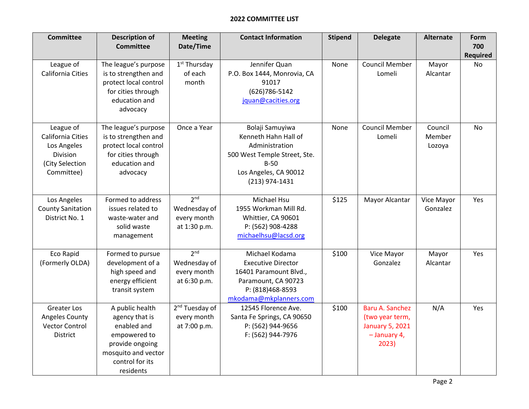## **2022 COMMITTEE LIST**

| <b>Committee</b>                                                                           | <b>Description of</b><br><b>Committee</b>                                                                                                  | <b>Meeting</b><br>Date/Time                                    | <b>Contact Information</b>                                                                                                                     | <b>Stipend</b> | <b>Delegate</b>                                                                       | <b>Alternate</b>            | Form<br>700           |
|--------------------------------------------------------------------------------------------|--------------------------------------------------------------------------------------------------------------------------------------------|----------------------------------------------------------------|------------------------------------------------------------------------------------------------------------------------------------------------|----------------|---------------------------------------------------------------------------------------|-----------------------------|-----------------------|
| League of<br>California Cities                                                             | The league's purpose<br>is to strengthen and<br>protect local control<br>for cities through<br>education and<br>advocacy                   | $1st$ Thursday<br>of each<br>month                             | Jennifer Quan<br>P.O. Box 1444, Monrovia, CA<br>91017<br>(626) 786-5142<br>jquan@cacities.org                                                  | None           | <b>Council Member</b><br>Lomeli                                                       | Mayor<br>Alcantar           | <b>Required</b><br>No |
| League of<br>California Cities<br>Los Angeles<br>Division<br>(City Selection<br>Committee) | The league's purpose<br>is to strengthen and<br>protect local control<br>for cities through<br>education and<br>advocacy                   | Once a Year                                                    | Bolaji Samuyiwa<br>Kenneth Hahn Hall of<br>Administration<br>500 West Temple Street, Ste.<br>$B-50$<br>Los Angeles, CA 90012<br>(213) 974-1431 | None           | <b>Council Member</b><br>Lomeli                                                       | Council<br>Member<br>Lozoya | <b>No</b>             |
| Los Angeles<br><b>County Sanitation</b><br>District No. 1                                  | Formed to address<br>issues related to<br>waste-water and<br>solid waste<br>management                                                     | 2 <sub>nd</sub><br>Wednesday of<br>every month<br>at 1:30 p.m. | Michael Hsu<br>1955 Workman Mill Rd.<br>Whittier, CA 90601<br>P: (562) 908-4288<br>michaelhsu@lacsd.org                                        | \$125          | Mayor Alcantar                                                                        | Vice Mayor<br>Gonzalez      | Yes                   |
| Eco Rapid<br>(Formerly OLDA)                                                               | Formed to pursue<br>development of a<br>high speed and<br>energy efficient<br>transit system                                               | 2 <sup>nd</sup><br>Wednesday of<br>every month<br>at 6:30 p.m. | Michael Kodama<br><b>Executive Director</b><br>16401 Paramount Blvd.,<br>Paramount, CA 90723<br>P: (818)468-8593<br>mkodama@mkplanners.com     | \$100          | Vice Mayor<br>Gonzalez                                                                | Mayor<br>Alcantar           | Yes                   |
| <b>Greater Los</b><br>Angeles County<br><b>Vector Control</b><br>District                  | A public health<br>agency that is<br>enabled and<br>empowered to<br>provide ongoing<br>mosquito and vector<br>control for its<br>residents | 2 <sup>nd</sup> Tuesday of<br>every month<br>at 7:00 p.m.      | 12545 Florence Ave.<br>Santa Fe Springs, CA 90650<br>P: (562) 944-9656<br>F: (562) 944-7976                                                    | \$100          | Baru A. Sanchez<br>(two year term,<br><b>January 5, 2021</b><br>- January 4,<br>2023) | N/A                         | Yes                   |